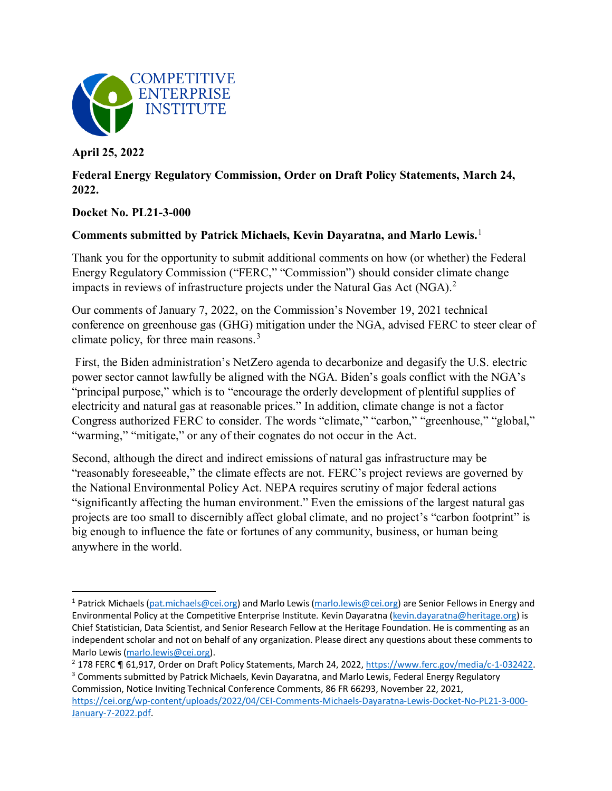

**April 25, 2022** 

l

## **Federal Energy Regulatory Commission, Order on Draft Policy Statements, March 24, 2022.**

## **Docket No. PL21-3-000**

## **Comments submitted by Patrick Michaels, Kevin Dayaratna, and Marlo Lewis.**[1](#page-0-0)

Thank you for the opportunity to submit additional comments on how (or whether) the Federal Energy Regulatory Commission ("FERC," "Commission") should consider climate change impacts in reviews of infrastructure projects under the Natural Gas Act (NGA).<sup>[2](#page-0-1)</sup>

Our comments of January 7, 2022, on the Commission's November 19, 2021 technical conference on greenhouse gas (GHG) mitigation under the NGA, advised FERC to steer clear of climate policy, for three main reasons.<sup>[3](#page-0-2)</sup>

First, the Biden administration's NetZero agenda to decarbonize and degasify the U.S. electric power sector cannot lawfully be aligned with the NGA. Biden's goals conflict with the NGA's "principal purpose," which is to "encourage the orderly development of plentiful supplies of electricity and natural gas at reasonable prices." In addition, climate change is not a factor Congress authorized FERC to consider. The words "climate," "carbon," "greenhouse," "global," "warming," "mitigate," or any of their cognates do not occur in the Act.

Second, although the direct and indirect emissions of natural gas infrastructure may be "reasonably foreseeable," the climate effects are not. FERC's project reviews are governed by the National Environmental Policy Act. NEPA requires scrutiny of major federal actions "significantly affecting the human environment." Even the emissions of the largest natural gas projects are too small to discernibly affect global climate, and no project's "carbon footprint" is big enough to influence the fate or fortunes of any community, business, or human being anywhere in the world.

<span id="page-0-0"></span><sup>&</sup>lt;sup>1</sup> Patrick Michaels [\(pat.michaels@cei.org\)](mailto:pat.michaels@cei.org) and Marlo Lewis [\(marlo.lewis@cei.org\)](mailto:marlo.lewis@cei.org) are Senior Fellows in Energy and Environmental Policy at the Competitive Enterprise Institute. Kevin Dayaratna [\(kevin.dayaratna@heritage.org\)](mailto:kevin.dayaratna@heritage.org) is Chief Statistician, Data Scientist, and Senior Research Fellow at the Heritage Foundation. He is commenting as an independent scholar and not on behalf of any organization. Please direct any questions about these comments to

<span id="page-0-1"></span>Marlo Lewis [\(marlo.lewis@cei.org\)](mailto:marlo.lewis@cei.org).<br><sup>2</sup> 178 FERC ¶ 61,917, Order on Draft Policy Statements, March 24, 2022, [https://www.ferc.gov/media/c-1-032422.](https://www.ferc.gov/media/c-1-032422)<br><sup>3</sup> Comments submitted by Patrick Michaels, Kevin Dayaratna, and Marlo Lewi

<span id="page-0-2"></span>Commission, Notice Inviting Technical Conference Comments, 86 FR 66293, November 22, 2021, [https://cei.org/wp-content/uploads/2022/04/CEI-Comments-Michaels-Dayaratna-Lewis-Docket-No-PL21-3-000-](https://cei.org/wp-content/uploads/2022/04/CEI-Comments-Michaels-Dayaratna-Lewis-Docket-No-PL21-3-000-January-7-2022.pdf) [January-7-2022.pdf.](https://cei.org/wp-content/uploads/2022/04/CEI-Comments-Michaels-Dayaratna-Lewis-Docket-No-PL21-3-000-January-7-2022.pdf)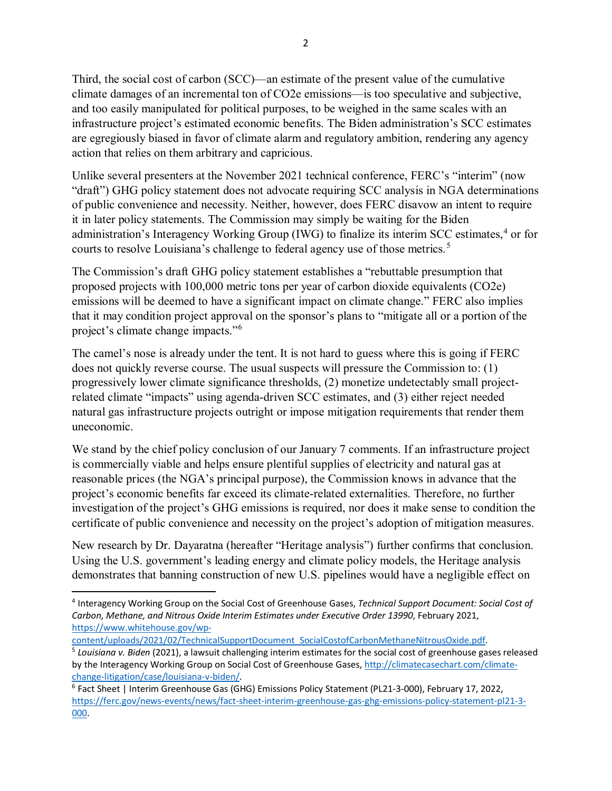Third, the social cost of carbon (SCC)—an estimate of the present value of the cumulative climate damages of an incremental ton of CO2e emissions—is too speculative and subjective, and too easily manipulated for political purposes, to be weighed in the same scales with an infrastructure project's estimated economic benefits. The Biden administration's SCC estimates are egregiously biased in favor of climate alarm and regulatory ambition, rendering any agency action that relies on them arbitrary and capricious.

Unlike several presenters at the November 2021 technical conference, FERC's "interim" (now "draft") GHG policy statement does not advocate requiring SCC analysis in NGA determinations of public convenience and necessity. Neither, however, does FERC disavow an intent to require it in later policy statements. The Commission may simply be waiting for the Biden administration's Interagency Working Group (IWG) to finalize its interim SCC estimates, [4](#page-1-0) or for courts to resolve Louisiana's challenge to federal agency use of those metrics. [5](#page-1-1)

The Commission's draft GHG policy statement establishes a "rebuttable presumption that proposed projects with 100,000 metric tons per year of carbon dioxide equivalents (CO2e) emissions will be deemed to have a significant impact on climate change." FERC also implies that it may condition project approval on the sponsor's plans to "mitigate all or a portion of the project's climate change impacts."[6](#page-1-2)

The camel's nose is already under the tent. It is not hard to guess where this is going if FERC does not quickly reverse course. The usual suspects will pressure the Commission to: (1) progressively lower climate significance thresholds, (2) monetize undetectably small projectrelated climate "impacts" using agenda-driven SCC estimates, and (3) either reject needed natural gas infrastructure projects outright or impose mitigation requirements that render them uneconomic.

We stand by the chief policy conclusion of our January 7 comments. If an infrastructure project is commercially viable and helps ensure plentiful supplies of electricity and natural gas at reasonable prices (the NGA's principal purpose), the Commission knows in advance that the project's economic benefits far exceed its climate-related externalities. Therefore, no further investigation of the project's GHG emissions is required, nor does it make sense to condition the certificate of public convenience and necessity on the project's adoption of mitigation measures.

New research by Dr. Dayaratna (hereafter "Heritage analysis") further confirms that conclusion. Using the U.S. government's leading energy and climate policy models, the Heritage analysis demonstrates that banning construction of new U.S. pipelines would have a negligible effect on

<span id="page-1-1"></span>

l

<span id="page-1-0"></span><sup>4</sup> Interagency Working Group on the Social Cost of Greenhouse Gases, *Technical Support Document: Social Cost of Carbon, Methane, and Nitrous Oxide Interim Estimates under Executive Order 13990*, February 2021, [https://www.whitehouse.gov/wp-](https://www.whitehouse.gov/wp-content/uploads/2021/02/TechnicalSupportDocument_SocialCostofCarbonMethaneNitrousOxide.pdf)

[content/uploads/2021/02/TechnicalSupportDocument\\_SocialCostofCarbonMethaneNitrousOxide.pdf.](https://www.whitehouse.gov/wp-content/uploads/2021/02/TechnicalSupportDocument_SocialCostofCarbonMethaneNitrousOxide.pdf) 5 *Louisiana v. Biden* (2021), a lawsuit challenging interim estimates for the social cost of greenhouse gases released by the Interagency Working Group on Social Cost of Greenhouse Gases[, http://climatecasechart.com/climate](http://climatecasechart.com/climate-change-litigation/case/louisiana-v-biden/)[change-litigation/case/louisiana-v-biden/.](http://climatecasechart.com/climate-change-litigation/case/louisiana-v-biden/)<br><sup>6</sup> Fact Sheet | Interim Greenhouse Gas (GHG) Emissions Policy Statement (PL21-3-000), February 17, 2022,

<span id="page-1-2"></span>[https://ferc.gov/news-events/news/fact-sheet-interim-greenhouse-gas-ghg-emissions-policy-statement-pl21-3-](https://ferc.gov/news-events/news/fact-sheet-interim-greenhouse-gas-ghg-emissions-policy-statement-pl21-3-000) [000.](https://ferc.gov/news-events/news/fact-sheet-interim-greenhouse-gas-ghg-emissions-policy-statement-pl21-3-000)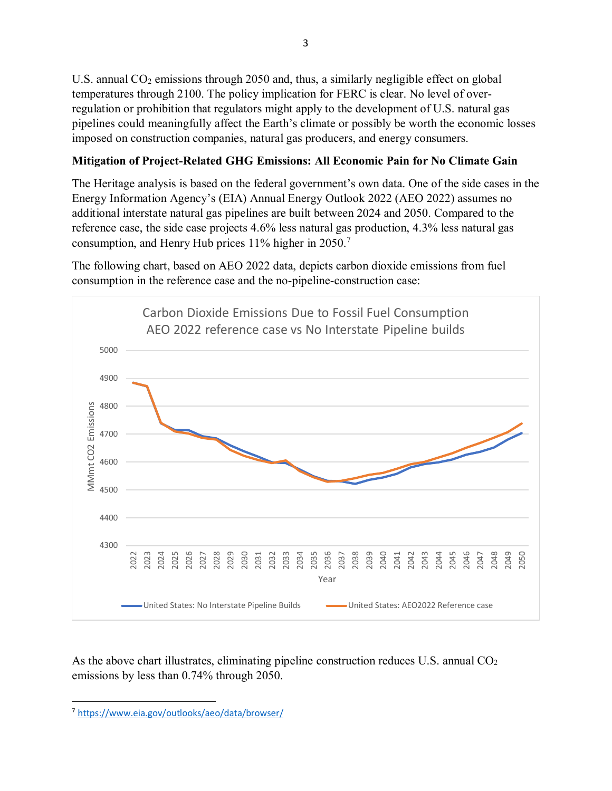U.S. annual  $CO<sub>2</sub>$  emissions through 2050 and, thus, a similarly negligible effect on global temperatures through 2100. The policy implication for FERC is clear. No level of overregulation or prohibition that regulators might apply to the development of U.S. natural gas pipelines could meaningfully affect the Earth's climate or possibly be worth the economic losses imposed on construction companies, natural gas producers, and energy consumers.

## **Mitigation of Project-Related GHG Emissions: All Economic Pain for No Climate Gain**

The Heritage analysis is based on the federal government's own data. One of the side cases in the Energy Information Agency's (EIA) Annual Energy Outlook 2022 (AEO 2022) assumes no additional interstate natural gas pipelines are built between 2024 and 2050. Compared to the reference case, the side case projects 4.6% less natural gas production, 4.3% less natural gas consumption, and Henry Hub prices 11% higher in 2050.[7](#page-2-0)

The following chart, based on AEO 2022 data, depicts carbon dioxide emissions from fuel consumption in the reference case and the no-pipeline-construction case:



As the above chart illustrates, eliminating pipeline construction reduces U.S. annual  $CO<sub>2</sub>$ emissions by less than 0.74% through 2050.

<span id="page-2-0"></span> $\overline{\phantom{a}}$ <https://www.eia.gov/outlooks/aeo/data/browser/>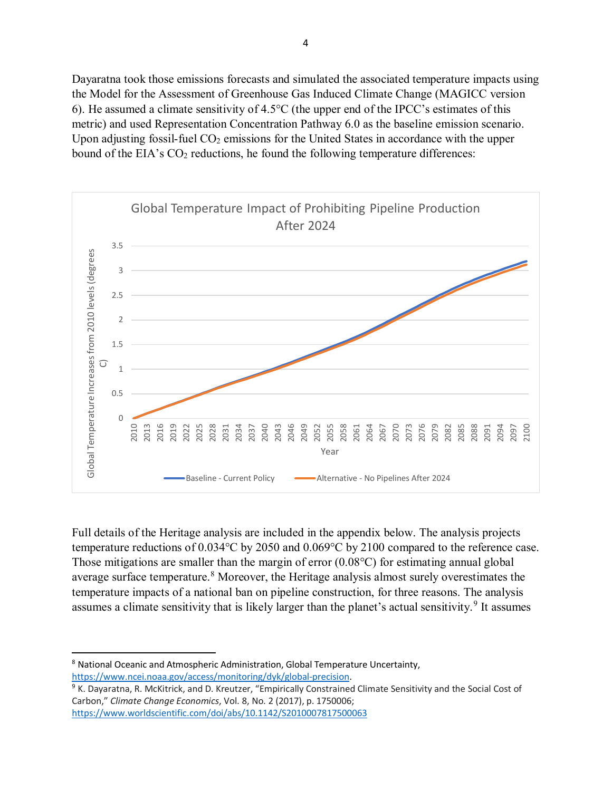Dayaratna took those emissions forecasts and simulated the associated temperature impacts using the Model for the Assessment of Greenhouse Gas Induced Climate Change (MAGICC version 6). He assumed a climate sensitivity of 4.5°C (the upper end of the IPCC's estimates of this metric) and used Representation Concentration Pathway 6.0 as the baseline emission scenario. Upon adjusting fossil-fuel  $CO<sub>2</sub>$  emissions for the United States in accordance with the upper bound of the EIA's  $CO<sub>2</sub>$  reductions, he found the following temperature differences:



Full details of the Heritage analysis are included in the appendix below. The analysis projects temperature reductions of 0.034°C by 2050 and 0.069°C by 2100 compared to the reference case. Those mitigations are smaller than the margin of error (0.08°C) for estimating annual global average surface temperature.<sup>[8](#page-3-0)</sup> Moreover, the Heritage analysis almost surely overestimates the temperature impacts of a national ban on pipeline construction, for three reasons. The analysis assumes a climate sensitivity that is likely larger than the planet's actual sensitivity.<sup>[9](#page-3-1)</sup> It assumes

 $\overline{\phantom{a}}$ 

<span id="page-3-0"></span><sup>&</sup>lt;sup>8</sup> National Oceanic and Atmospheric Administration, Global Temperature Uncertainty,

<span id="page-3-1"></span>[https://www.ncei.noaa.gov/access/monitoring/dyk/global-precision.](https://www.ncei.noaa.gov/access/monitoring/dyk/global-precision)<br><sup>9</sup> K. Dayaratna, R. McKitrick, and D. Kreutzer, "Empirically Constrained Climate Sensitivity and the Social Cost of Carbon," *Climate Change Economics*, Vol. 8, No. 2 (2017), p. 1750006; <https://www.worldscientific.com/doi/abs/10.1142/S2010007817500063>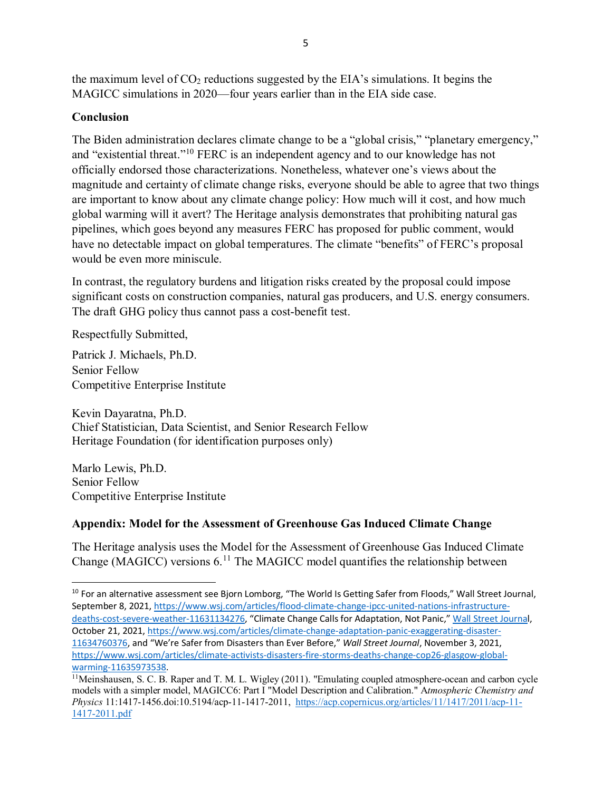the maximum level of  $CO<sub>2</sub>$  reductions suggested by the EIA's simulations. It begins the MAGICC simulations in 2020—four years earlier than in the EIA side case.

## **Conclusion**

The Biden administration declares climate change to be a "global crisis," "planetary emergency," and "existential threat."[10](#page-4-0) FERC is an independent agency and to our knowledge has not officially endorsed those characterizations. Nonetheless, whatever one's views about the magnitude and certainty of climate change risks, everyone should be able to agree that two things are important to know about any climate change policy: How much will it cost, and how much global warming will it avert? The Heritage analysis demonstrates that prohibiting natural gas pipelines, which goes beyond any measures FERC has proposed for public comment, would have no detectable impact on global temperatures. The climate "benefits" of FERC's proposal would be even more miniscule.

In contrast, the regulatory burdens and litigation risks created by the proposal could impose significant costs on construction companies, natural gas producers, and U.S. energy consumers. The draft GHG policy thus cannot pass a cost-benefit test.

Respectfully Submitted,

Patrick J. Michaels, Ph.D. Senior Fellow Competitive Enterprise Institute

Kevin Dayaratna, Ph.D. Chief Statistician, Data Scientist, and Senior Research Fellow Heritage Foundation (for identification purposes only)

Marlo Lewis, Ph.D. Senior Fellow Competitive Enterprise Institute

 $\overline{\phantom{a}}$ 

# **Appendix: Model for the Assessment of Greenhouse Gas Induced Climate Change**

The Heritage analysis uses the Model for the Assessment of Greenhouse Gas Induced Climate Change (MAGICC) versions  $6<sup>11</sup>$  $6<sup>11</sup>$  $6<sup>11</sup>$  The MAGICC model quantifies the relationship between

<span id="page-4-0"></span><sup>&</sup>lt;sup>10</sup> For an alternative assessment see Bjorn Lomborg, "The World Is Getting Safer from Floods," Wall Street Journal, September 8, 2021, [https://www.wsj.com/articles/flood-climate-change-ipcc-united-nations-infrastructure](https://www.wsj.com/articles/flood-climate-change-ipcc-united-nations-infrastructure-deaths-cost-severe-weather-11631134276)[deaths-cost-severe-weather-11631134276,](https://www.wsj.com/articles/flood-climate-change-ipcc-united-nations-infrastructure-deaths-cost-severe-weather-11631134276) "Climate Change Calls for Adaptation, Not Panic," [Wall Street Journal](https://www.wsj.com/articles/climate-change-adaptation-panic-exaggerating-disaster-11634760376), October 21, 2021[, https://www.wsj.com/articles/climate-change-adaptation-panic-exaggerating-disaster-](https://www.wsj.com/articles/climate-change-adaptation-panic-exaggerating-disaster-11634760376)[11634760376,](https://www.wsj.com/articles/climate-change-adaptation-panic-exaggerating-disaster-11634760376) and "We're Safer from Disasters than Ever Before," *Wall Street Journal*, November 3, 2021, [https://www.wsj.com/articles/climate-activists-disasters-fire-storms-deaths-change-cop26-glasgow-global](https://www.wsj.com/articles/climate-activists-disasters-fire-storms-deaths-change-cop26-glasgow-global-warming-11635973538)[warming-11635973538.](https://www.wsj.com/articles/climate-activists-disasters-fire-storms-deaths-change-cop26-glasgow-global-warming-11635973538) 

<span id="page-4-1"></span><sup>&</sup>lt;sup>11</sup>Meinshausen, S. C. B. Raper and T. M. L. Wigley (2011). "Emulating coupled atmosphere-ocean and carbon cycle models with a simpler model, MAGICC6: Part I "Model Description and Calibration." A*tmospheric Chemistry and Physics* 11:1417-1456.doi:10.5194/acp-11-1417-2011, [https://acp.copernicus.org/articles/11/1417/2011/acp-11-](https://acp.copernicus.org/articles/11/1417/2011/acp-11-1417-2011.pdf) [1417-2011.pdf](https://acp.copernicus.org/articles/11/1417/2011/acp-11-1417-2011.pdf)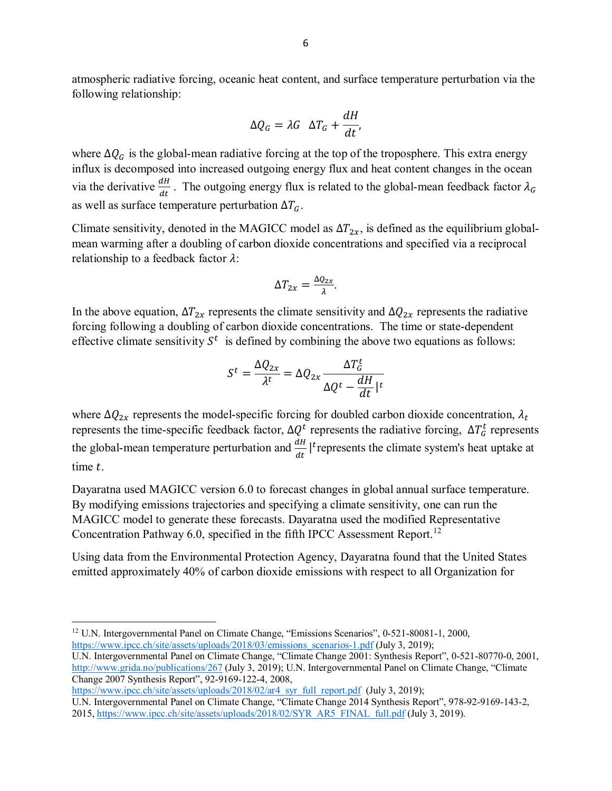atmospheric radiative forcing, oceanic heat content, and surface temperature perturbation via the following relationship:

$$
\Delta Q_G = \lambda G \ \ \Delta T_G + \frac{dH}{dt},
$$

where  $\Delta Q_G$  is the global-mean radiative forcing at the top of the troposphere. This extra energy influx is decomposed into increased outgoing energy flux and heat content changes in the ocean via the derivative  $\frac{dH}{dt}$ . The outgoing energy flux is related to the global-mean feedback factor  $\lambda_G$ as well as surface temperature perturbation  $\Delta T_G$ .

Climate sensitivity, denoted in the MAGICC model as  $\Delta T_{2x}$ , is defined as the equilibrium globalmean warming after a doubling of carbon dioxide concentrations and specified via a reciprocal relationship to a feedback factor  $\lambda$ :

$$
\Delta T_{2x} = \frac{\Delta Q_{2x}}{\lambda}.
$$

In the above equation,  $\Delta T_{2x}$  represents the climate sensitivity and  $\Delta Q_{2x}$  represents the radiative forcing following a doubling of carbon dioxide concentrations. The time or state-dependent effective climate sensitivity  $S<sup>t</sup>$  is defined by combining the above two equations as follows:

$$
S^{t} = \frac{\Delta Q_{2x}}{\lambda^{t}} = \Delta Q_{2x} \frac{\Delta T_{G}^{t}}{\Delta Q^{t} - \frac{dH}{dt} |^{t}}
$$

where  $\Delta Q_{2x}$  represents the model-specific forcing for doubled carbon dioxide concentration,  $\lambda_t$ represents the time-specific feedback factor,  $\Delta Q^t$  represents the radiative forcing,  $\Delta T_G^t$  represents the global-mean temperature perturbation and  $\frac{dH}{dt}$  |<sup>t</sup> represents the climate system's heat uptake at time t.

Dayaratna used MAGICC version 6.0 to forecast changes in global annual surface temperature. By modifying emissions trajectories and specifying a climate sensitivity, one can run the MAGICC model to generate these forecasts. Dayaratna used the modified Representative Concentration Pathway 6.0, specified in the fifth IPCC Assessment Report.<sup>[12](#page-5-0)</sup>

Using data from the Environmental Protection Agency, Dayaratna found that the United States emitted approximately 40% of carbon dioxide emissions with respect to all Organization for

[https://www.ipcc.ch/site/assets/uploads/2018/02/ar4\\_syr\\_full\\_report.pdf](https://www.ipcc.ch/site/assets/uploads/2018/02/ar4_syr_full_report.pdf) (July 3, 2019);

 $\overline{a}$ 

<span id="page-5-0"></span><sup>&</sup>lt;sup>12</sup> U.N. Intergovernmental Panel on Climate Change, "Emissions Scenarios", 0-521-80081-1, 2000, [https://www.ipcc.ch/site/assets/uploads/2018/03/emissions\\_scenarios-1.pdf](https://www.ipcc.ch/site/assets/uploads/2018/03/emissions_scenarios-1.pdf) (July 3, 2019);

U.N. Intergovernmental Panel on Climate Change, "Climate Change 2001: Synthesis Report", 0-521-80770-0, 2001, <http://www.grida.no/publications/267> (July 3, 2019); U.N. Intergovernmental Panel on Climate Change, "Climate Change 2007 Synthesis Report", 92-9169-122-4, 2008,

U.N. Intergovernmental Panel on Climate Change, "Climate Change 2014 Synthesis Report", 978-92-9169-143-2, 2015, [https://www.ipcc.ch/site/assets/uploads/2018/02/SYR\\_AR5\\_FINAL\\_full.pdf](https://www.ipcc.ch/site/assets/uploads/2018/02/SYR_AR5_FINAL_full.pdf) (July 3, 2019).